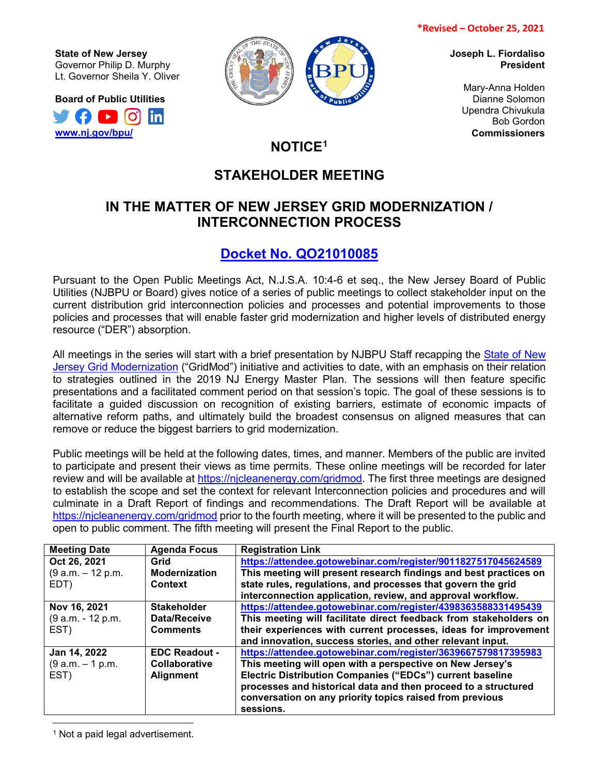**State of New Jersey** Governor Philip D. Murphy Lt. Governor Sheila Y. Oliver





**Joseph L. Fiordaliso President**

> Mary-Anna Holden Dianne Solomon Upendra Chivukula Bob Gordon **Commissioners**

# **NOTICE[1](#page-0-0)**

# **STAKEHOLDER MEETING**

## **IN THE MATTER OF NEW JERSEY GRID MODERNIZATION / INTERCONNECTION PROCESS**

# **[Docket No. QO21010085](https://publicaccess.bpu.state.nj.us/CaseSummary.aspx?case_id=2109704)**

Pursuant to the Open Public Meetings Act, N.J.S.A. 10:4-6 et seq., the New Jersey Board of Public Utilities (NJBPU or Board) gives notice of a series of public meetings to collect stakeholder input on the current distribution grid interconnection policies and processes and potential improvements to those policies and processes that will enable faster grid modernization and higher levels of distributed energy resource ("DER") absorption.

All meetings in the series will start with a brief presentation by NJBPU Staff recapping the **State of New** [Jersey Grid Modernization](https://njcleanenergy.com/gridmod) ("GridMod") initiative and activities to date, with an emphasis on their relation to strategies outlined in the 2019 NJ Energy Master Plan. The sessions will then feature specific presentations and a facilitated comment period on that session's topic. The goal of these sessions is to facilitate a guided discussion on recognition of existing barriers, estimate of economic impacts of alternative reform paths, and ultimately build the broadest consensus on aligned measures that can remove or reduce the biggest barriers to grid modernization.

Public meetings will be held at the following dates, times, and manner. Members of the public are invited to participate and present their views as time permits. These online meetings will be recorded for later review and will be available at [https://njcleanenergy.com/gridmod.](https://njcleanenergy.com/gridmod) The first three meetings are designed to establish the scope and set the context for relevant Interconnection policies and procedures and will culminate in a Draft Report of findings and recommendations. The Draft Report will be available at <https://njcleanenergy.com/gridmod> prior to the fourth meeting, where it will be presented to the public and open to public comment. The fifth meeting will present the Final Report to the public.

| <b>Meeting Date</b> | <b>Agenda Focus</b>  | <b>Registration Link</b>                                          |
|---------------------|----------------------|-------------------------------------------------------------------|
| Oct 26, 2021        | Grid                 | https://attendee.gotowebinar.com/register/9011827517045624589     |
| $(9 a.m. - 12 p.m.$ | <b>Modernization</b> | This meeting will present research findings and best practices on |
| EDT)                | <b>Context</b>       | state rules, regulations, and processes that govern the grid      |
|                     |                      | interconnection application, review, and approval workflow.       |
| Nov 16, 2021        | <b>Stakeholder</b>   | https://attendee.gotowebinar.com/register/4398363588331495439     |
| (9 a.m. - 12 p.m.   | Data/Receive         | This meeting will facilitate direct feedback from stakeholders on |
| EST)                | <b>Comments</b>      | their experiences with current processes, ideas for improvement   |
|                     |                      | and innovation, success stories, and other relevant input.        |
| Jan 14, 2022        | <b>EDC Readout -</b> | https://attendee.gotowebinar.com/register/3639667579817395983     |
| $(9 a.m. - 1 p.m.$  | <b>Collaborative</b> | This meeting will open with a perspective on New Jersey's         |
| EST)                | <b>Alignment</b>     | Electric Distribution Companies ("EDCs") current baseline         |
|                     |                      | processes and historical data and then proceed to a structured    |
|                     |                      | conversation on any priority topics raised from previous          |
|                     |                      | sessions.                                                         |

<span id="page-0-0"></span>l <sup>1</sup> Not a paid legal advertisement.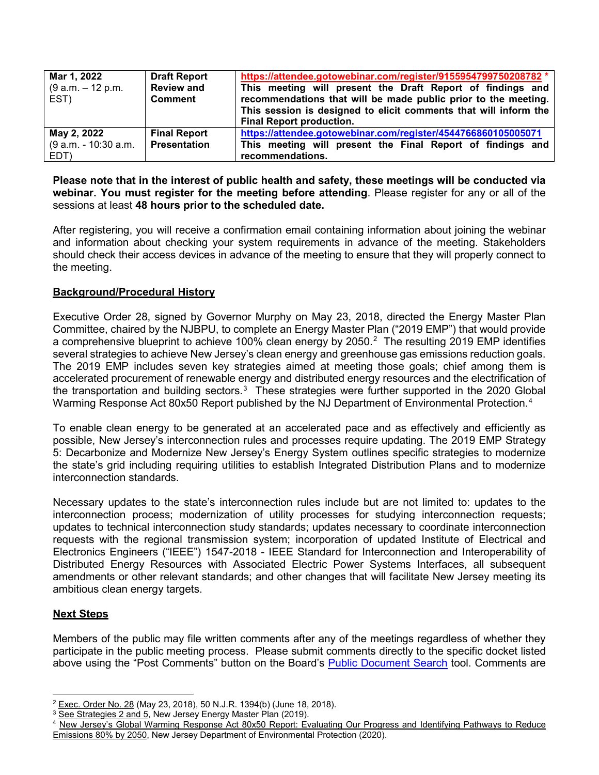| Mar 1, 2022<br>$(9 a.m. - 12 p.m.$<br>EST)  | <b>Draft Report</b><br><b>Review and</b><br><b>Comment</b> | https://attendee.gotowebinar.com/register/9155954799750208782 *<br>This meeting will present the Draft Report of findings and<br>recommendations that will be made public prior to the meeting.<br>This session is designed to elicit comments that will inform the<br><b>Final Report production.</b> |
|---------------------------------------------|------------------------------------------------------------|--------------------------------------------------------------------------------------------------------------------------------------------------------------------------------------------------------------------------------------------------------------------------------------------------------|
| May 2, 2022<br>(9 a.m. - 10:30 a.m.<br>EDT) | <b>Final Report</b><br>Presentation                        | https://attendee.gotowebinar.com/register/4544766860105005071<br>This meeting will present the Final Report of findings and<br>recommendations.                                                                                                                                                        |

#### **Please note that in the interest of public health and safety, these meetings will be conducted via webinar. You must register for the meeting before attending**. Please register for any or all of the sessions at least **48 hours prior to the scheduled date.**

After registering, you will receive a confirmation email containing information about joining the webinar and information about checking your system requirements in advance of the meeting. Stakeholders should check their access devices in advance of the meeting to ensure that they will properly connect to the meeting.

### **Background/Procedural History**

Executive Order 28, signed by Governor Murphy on May 23, 2018, directed the Energy Master Plan Committee, chaired by the NJBPU, to complete an Energy Master Plan ("2019 EMP") that would provide a comprehensive blueprint to achieve 100% clean energy by [2](#page-1-0)050.<sup>2</sup> The resulting 2019 EMP identifies several strategies to achieve New Jersey's clean energy and greenhouse gas emissions reduction goals. The 2019 EMP includes seven key strategies aimed at meeting those goals; chief among them is accelerated procurement of renewable energy and distributed energy resources and the electrification of the transportation and building sectors.<sup>[3](#page-1-1)</sup> These strategies were further supported in the 2020 Global Warming Response Act 80x50 Report published by the NJ Department of Environmental Protection.<sup>[4](#page-1-2)</sup>

To enable clean energy to be generated at an accelerated pace and as effectively and efficiently as possible, New Jersey's interconnection rules and processes require updating. The 2019 EMP Strategy 5: Decarbonize and Modernize New Jersey's Energy System outlines specific strategies to modernize the state's grid including requiring utilities to establish Integrated Distribution Plans and to modernize interconnection standards.

Necessary updates to the state's interconnection rules include but are not limited to: updates to the interconnection process; modernization of utility processes for studying interconnection requests; updates to technical interconnection study standards; updates necessary to coordinate interconnection requests with the regional transmission system; incorporation of updated Institute of Electrical and Electronics Engineers ("IEEE") 1547-2018 - IEEE Standard for Interconnection and Interoperability of Distributed Energy Resources with Associated Electric Power Systems Interfaces, all subsequent amendments or other relevant standards; and other changes that will facilitate New Jersey meeting its ambitious clean energy targets.

### **Next Steps**

 $\overline{\phantom{a}}$ 

Members of the public may file written comments after any of the meetings regardless of whether they participate in the public meeting process. Please submit comments directly to the specific docket listed above using the "Post Comments" button on the Board's [Public Document Search](https://publicaccess.bpu.state.nj.us/) tool. Comments are

<span id="page-1-0"></span><sup>2</sup> Exec. Order No. 28 (May 23, 2018), 50 N.J.R. 1394(b) (June 18, 2018).

<span id="page-1-1"></span><sup>&</sup>lt;sup>3</sup> See Strategies 2 and 5, New Jersey Energy Master Plan (2019).

<span id="page-1-2"></span><sup>4</sup> New Jersey's Global Warming Response Act 80x50 Report: Evaluating Our Progress and Identifying Pathways to Reduce Emissions 80% by 2050, New Jersey Department of Environmental Protection (2020).